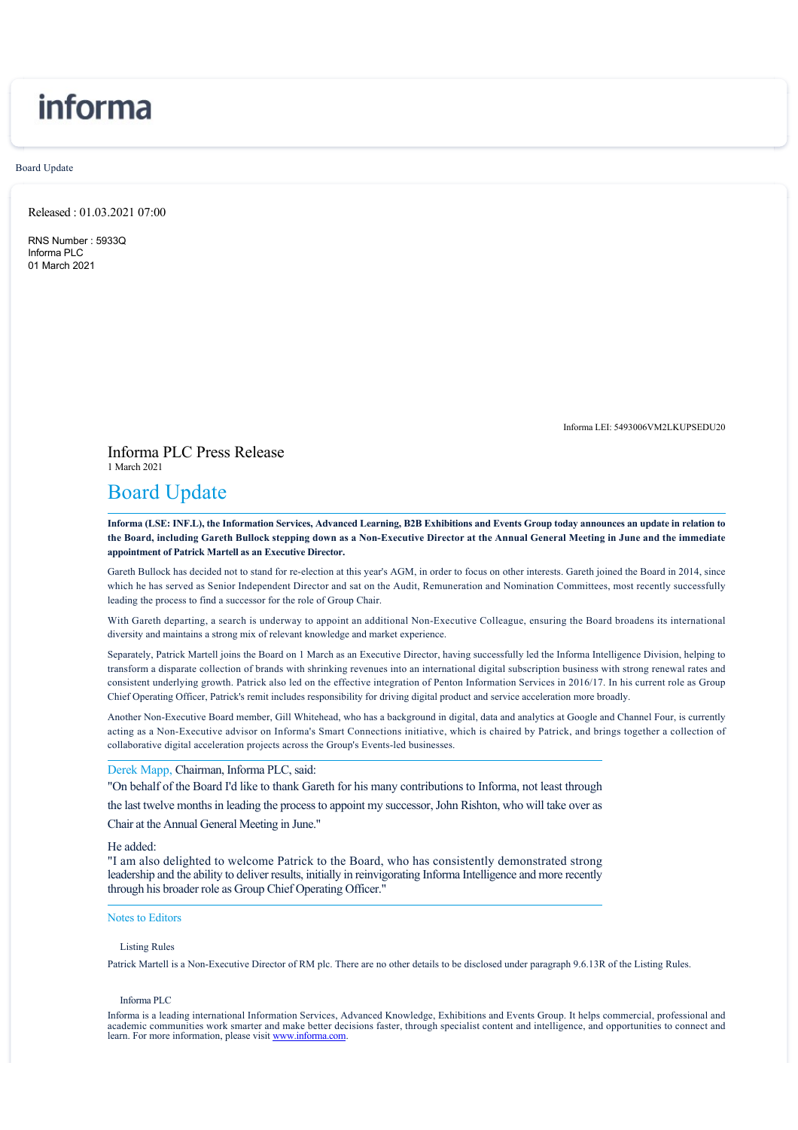# informa

Board Update

Released : 01.03.2021 07:00

RNS Number : 5933Q Informa PLC 01 March 2021

Informa LEI: 5493006VM2LKUPSEDU20

Informa PLC Press Release 1 March 2021

# Board Update

**Informa (LSE: INF.L), the Information Services, Advanced Learning, B2B Exhibitions and Events Group today announces an update in relation to the Board, including Gareth Bullock stepping down as a Non-Executive Director at the Annual General Meeting in June and the immediate appointment of Patrick Martell as an Executive Director.**

Gareth Bullock has decided not to stand for re-election at this year's AGM, in order to focus on other interests. Gareth joined the Board in 2014, since which he has served as Senior Independent Director and sat on the Audit, Remuneration and Nomination Committees, most recently successfully leading the process to find a successor for the role of Group Chair.

With Gareth departing, a search is underway to appoint an additional Non-Executive Colleague, ensuring the Board broadens its international diversity and maintains a strong mix of relevant knowledge and market experience.

Separately, Patrick Martell joins the Board on 1 March as an Executive Director, having successfully led the Informa Intelligence Division, helping to transform a disparate collection of brands with shrinking revenues into an international digital subscription business with strong renewal rates and consistent underlying growth. Patrick also led on the effective integration of Penton Information Services in 2016/17. In his current role as Group Chief Operating Officer, Patrick's remit includes responsibility for driving digital product and service acceleration more broadly.

Another Non-Executive Board member, Gill Whitehead, who has a background in digital, data and analytics at Google and Channel Four, is currently acting as a Non-Executive advisor on Informa's Smart Connections initiative, which is chaired by Patrick, and brings together a collection of collaborative digital acceleration projects across the Group's Events-led businesses.

## Derek Mapp, Chairman, Informa PLC, said:

"On behalf of the Board I'd like to thank Gareth for his many contributions to Informa, not least through

the last twelve months in leading the process to appoint my successor, John Rishton, who will take over as

Chair at the Annual General Meeting in June."

#### He added:

"I am also delighted to welcome Patrick to the Board, who has consistently demonstrated strong leadership and the ability to deliver results, initially in reinvigorating Informa Intelligence and more recently through his broader role as Group Chief Operating Officer."

### Notes to Editors

#### Listing Rules

Patrick Martell is a Non-Executive Director of RM plc. There are no other details to be disclosed under paragraph 9.6.13R of the Listing Rules.

#### Informa PLC

Informa is a leading international Information Services, Advanced Knowledge, Exhibitions and Events Group. It helps commercial, professional and academic communities work smarter and make better decisions faster, through specialist content and intelligence, and opportunities to connect and learn. For more information, please visit [www.informa.com.](http://www.informa.com)